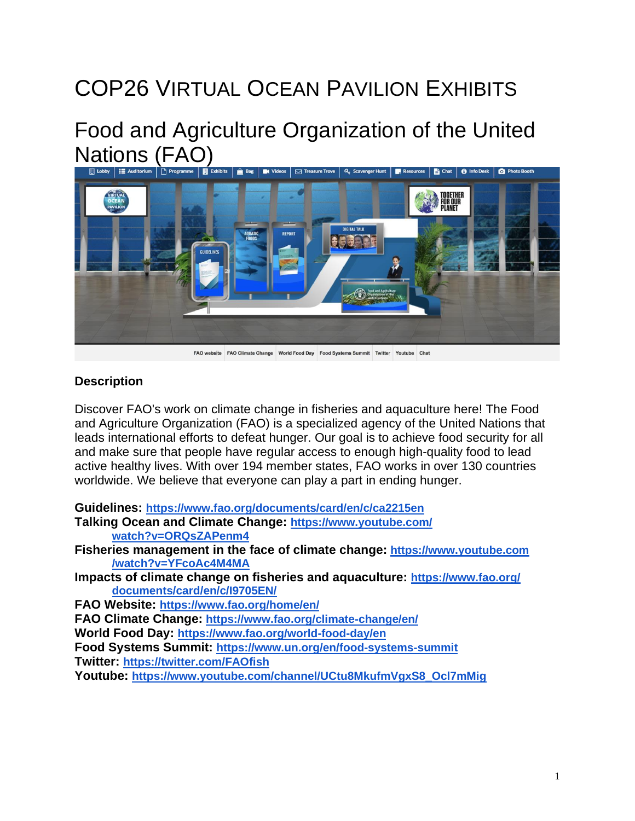# COP26 VIRTUAL OCEAN PAVILION EXHIBITS

## Food and Agriculture Organization of the United Nations (FAO)



FAO website FAO Climate Change World Food Day Food Systems Summit Twitter Youtube Cha

#### **Description**

Discover FAO's work on climate change in fisheries and aquaculture here! The Food and Agriculture Organization (FAO) is a specialized agency of the United Nations that leads international efforts to defeat hunger. Our goal is to achieve food security for all and make sure that people have regular access to enough high-quality food to lead active healthy lives. With over 194 member states, FAO works in over 130 countries worldwide. We believe that everyone can play a part in ending hunger.

**Guidelines: <https://www.fao.org/documents/card/en/c/ca2215en>**

**Talking Ocean and Climate Change: [https://www.youtube.com/](https://www.youtube.com/watch?v=ORQsZAPenm4) [watch?v=ORQsZAPenm4](https://www.youtube.com/watch?v=ORQsZAPenm4)**

**Fisheries management in the face of climate change: [https://www.youtube.com](https://www.youtube.com/watch?v=YFcoAc4M4MA) [/watch?v=YFcoAc4M4MA](https://www.youtube.com/watch?v=YFcoAc4M4MA)**

**Impacts of climate change on fisheries and aquaculture: [https://www.fao.org/](https://www.fao.org/documents/card/en/c/I9705EN/) [documents/card/en/c/I9705EN/](https://www.fao.org/documents/card/en/c/I9705EN/)**

**FAO Website: <https://www.fao.org/home/en/>**

**FAO Climate Change: <https://www.fao.org/climate-change/en/>**

**World Food Day: <https://www.fao.org/world-food-day/en>**

**Food Systems Summit: <https://www.un.org/en/food-systems-summit>**

**Twitter: <https://twitter.com/FAOfish>**

**Youtube: [https://www.youtube.com/channel/UCtu8MkufmVgxS8\\_Ocl7mMig](https://www.youtube.com/channel/UCtu8MkufmVgxS8_Ocl7mMig)**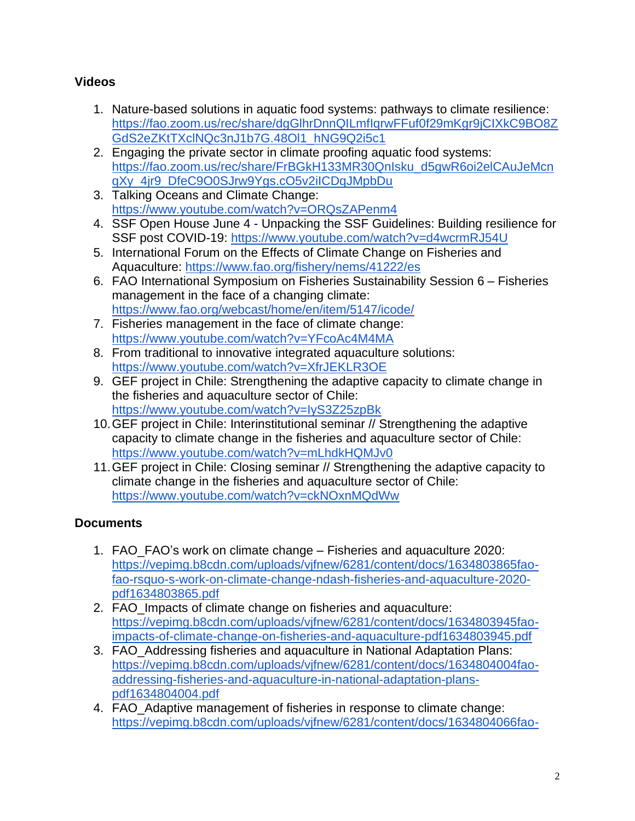### **Videos**

- 1. Nature-based solutions in aquatic food systems: pathways to climate resilience: [https://fao.zoom.us/rec/share/dgGlhrDnnQILmfIqrwFFuf0f29mKgr9jCIXkC9BO8Z](https://fao.zoom.us/rec/share/dgGlhrDnnQILmfIqrwFFuf0f29mKgr9jCIXkC9BO8ZGdS2eZKtTXclNQc3nJ1b7G.48Ol1_hNG9Q2i5c1) [GdS2eZKtTXclNQc3nJ1b7G.48Ol1\\_hNG9Q2i5c1](https://fao.zoom.us/rec/share/dgGlhrDnnQILmfIqrwFFuf0f29mKgr9jCIXkC9BO8ZGdS2eZKtTXclNQc3nJ1b7G.48Ol1_hNG9Q2i5c1)
- 2. Engaging the private sector in climate proofing aquatic food systems: [https://fao.zoom.us/rec/share/FrBGkH133MR30QnIsku\\_d5gwR6oi2elCAuJeMcn](https://fao.zoom.us/rec/share/FrBGkH133MR30QnIsku_d5gwR6oi2elCAuJeMcnqXy_4jr9_DfeC9O0SJrw9Ygs.cO5v2iICDqJMpbDu) [qXy\\_4jr9\\_DfeC9O0SJrw9Ygs.cO5v2iICDqJMpbDu](https://fao.zoom.us/rec/share/FrBGkH133MR30QnIsku_d5gwR6oi2elCAuJeMcnqXy_4jr9_DfeC9O0SJrw9Ygs.cO5v2iICDqJMpbDu)
- 3. Talking Oceans and Climate Change: <https://www.youtube.com/watch?v=ORQsZAPenm4>
- 4. SSF Open House June 4 Unpacking the SSF Guidelines: Building resilience for SSF post COVID-19: <https://www.youtube.com/watch?v=d4wcrmRJ54U>
- 5. International Forum on the Effects of Climate Change on Fisheries and Aquaculture: <https://www.fao.org/fishery/nems/41222/es>
- 6. FAO International Symposium on Fisheries Sustainability Session 6 Fisheries management in the face of a changing climate: <https://www.fao.org/webcast/home/en/item/5147/icode/>
- 7. Fisheries management in the face of climate change: <https://www.youtube.com/watch?v=YFcoAc4M4MA>
- 8. From traditional to innovative integrated aquaculture solutions: <https://www.youtube.com/watch?v=XfrJEKLR3OE>
- 9. GEF project in Chile: Strengthening the adaptive capacity to climate change in the fisheries and aquaculture sector of Chile: <https://www.youtube.com/watch?v=IyS3Z25zpBk>
- 10.GEF project in Chile: Interinstitutional seminar // Strengthening the adaptive capacity to climate change in the fisheries and aquaculture sector of Chile: <https://www.youtube.com/watch?v=mLhdkHQMJv0>
- 11.GEF project in Chile: Closing seminar // Strengthening the adaptive capacity to climate change in the fisheries and aquaculture sector of Chile: <https://www.youtube.com/watch?v=ckNOxnMQdWw>

## **Documents**

- 1. FAO\_FAO's work on climate change Fisheries and aquaculture 2020: [https://vepimg.b8cdn.com/uploads/vjfnew/6281/content/docs/1634803865fao](https://vepimg.b8cdn.com/uploads/vjfnew/6281/content/docs/1634803865fao-fao-rsquo-s-work-on-climate-change-ndash-fisheries-and-aquaculture-2020-pdf1634803865.pdf)[fao-rsquo-s-work-on-climate-change-ndash-fisheries-and-aquaculture-2020](https://vepimg.b8cdn.com/uploads/vjfnew/6281/content/docs/1634803865fao-fao-rsquo-s-work-on-climate-change-ndash-fisheries-and-aquaculture-2020-pdf1634803865.pdf) [pdf1634803865.pdf](https://vepimg.b8cdn.com/uploads/vjfnew/6281/content/docs/1634803865fao-fao-rsquo-s-work-on-climate-change-ndash-fisheries-and-aquaculture-2020-pdf1634803865.pdf)
- 2. FAO\_Impacts of climate change on fisheries and aquaculture: [https://vepimg.b8cdn.com/uploads/vjfnew/6281/content/docs/1634803945fao](https://vepimg.b8cdn.com/uploads/vjfnew/6281/content/docs/1634803945fao-impacts-of-climate-change-on-fisheries-and-aquaculture-pdf1634803945.pdf)[impacts-of-climate-change-on-fisheries-and-aquaculture-pdf1634803945.pdf](https://vepimg.b8cdn.com/uploads/vjfnew/6281/content/docs/1634803945fao-impacts-of-climate-change-on-fisheries-and-aquaculture-pdf1634803945.pdf)
- 3. FAO\_Addressing fisheries and aquaculture in National Adaptation Plans: [https://vepimg.b8cdn.com/uploads/vjfnew/6281/content/docs/1634804004fao](https://vepimg.b8cdn.com/uploads/vjfnew/6281/content/docs/1634804004fao-addressing-fisheries-and-aquaculture-in-national-adaptation-plans-pdf1634804004.pdf)[addressing-fisheries-and-aquaculture-in-national-adaptation-plans](https://vepimg.b8cdn.com/uploads/vjfnew/6281/content/docs/1634804004fao-addressing-fisheries-and-aquaculture-in-national-adaptation-plans-pdf1634804004.pdf)[pdf1634804004.pdf](https://vepimg.b8cdn.com/uploads/vjfnew/6281/content/docs/1634804004fao-addressing-fisheries-and-aquaculture-in-national-adaptation-plans-pdf1634804004.pdf)
- 4. FAO Adaptive management of fisheries in response to climate change: [https://vepimg.b8cdn.com/uploads/vjfnew/6281/content/docs/1634804066fao-](https://vepimg.b8cdn.com/uploads/vjfnew/6281/content/docs/1634804066fao-adaptive-management-of-fisheries-in-response-to-climate-change-pdf1634804066.pdf)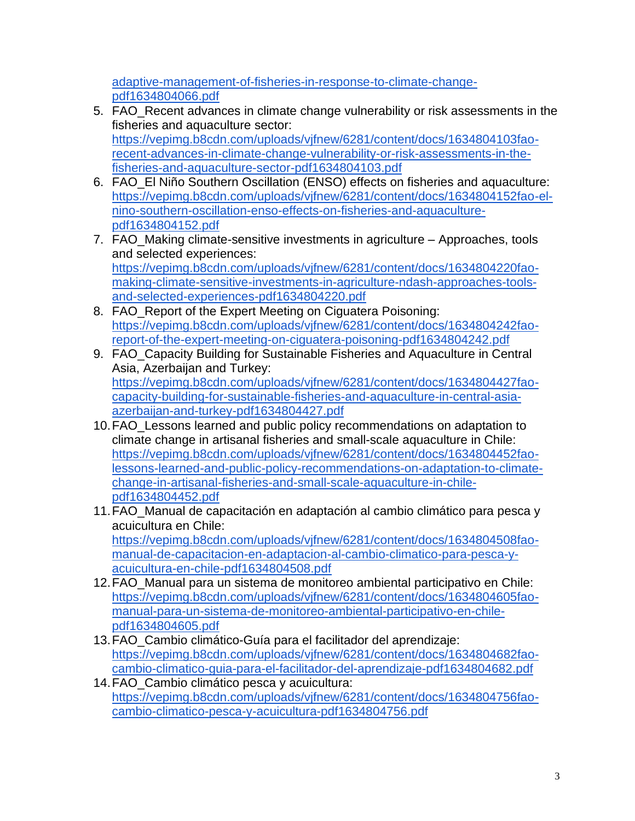[adaptive-management-of-fisheries-in-response-to-climate-change](https://vepimg.b8cdn.com/uploads/vjfnew/6281/content/docs/1634804066fao-adaptive-management-of-fisheries-in-response-to-climate-change-pdf1634804066.pdf)[pdf1634804066.pdf](https://vepimg.b8cdn.com/uploads/vjfnew/6281/content/docs/1634804066fao-adaptive-management-of-fisheries-in-response-to-climate-change-pdf1634804066.pdf)

- 5. FAO\_Recent advances in climate change vulnerability or risk assessments in the fisheries and aquaculture sector: [https://vepimg.b8cdn.com/uploads/vjfnew/6281/content/docs/1634804103fao](https://vepimg.b8cdn.com/uploads/vjfnew/6281/content/docs/1634804103fao-recent-advances-in-climate-change-vulnerability-or-risk-assessments-in-the-fisheries-and-aquaculture-sector-pdf1634804103.pdf)[recent-advances-in-climate-change-vulnerability-or-risk-assessments-in-the](https://vepimg.b8cdn.com/uploads/vjfnew/6281/content/docs/1634804103fao-recent-advances-in-climate-change-vulnerability-or-risk-assessments-in-the-fisheries-and-aquaculture-sector-pdf1634804103.pdf)[fisheries-and-aquaculture-sector-pdf1634804103.pdf](https://vepimg.b8cdn.com/uploads/vjfnew/6281/content/docs/1634804103fao-recent-advances-in-climate-change-vulnerability-or-risk-assessments-in-the-fisheries-and-aquaculture-sector-pdf1634804103.pdf)
- 6. FAO\_El Niño Southern Oscillation (ENSO) effects on fisheries and aquaculture: [https://vepimg.b8cdn.com/uploads/vjfnew/6281/content/docs/1634804152fao-el](https://vepimg.b8cdn.com/uploads/vjfnew/6281/content/docs/1634804152fao-el-nino-southern-oscillation-enso-effects-on-fisheries-and-aquaculture-pdf1634804152.pdf)[nino-southern-oscillation-enso-effects-on-fisheries-and-aquaculture](https://vepimg.b8cdn.com/uploads/vjfnew/6281/content/docs/1634804152fao-el-nino-southern-oscillation-enso-effects-on-fisheries-and-aquaculture-pdf1634804152.pdf)[pdf1634804152.pdf](https://vepimg.b8cdn.com/uploads/vjfnew/6281/content/docs/1634804152fao-el-nino-southern-oscillation-enso-effects-on-fisheries-and-aquaculture-pdf1634804152.pdf)
- 7. FAO Making climate-sensitive investments in agriculture Approaches, tools and selected experiences: [https://vepimg.b8cdn.com/uploads/vjfnew/6281/content/docs/1634804220fao](https://vepimg.b8cdn.com/uploads/vjfnew/6281/content/docs/1634804220fao-making-climate-sensitive-investments-in-agriculture-ndash-approaches-tools-and-selected-experiences-pdf1634804220.pdf)[making-climate-sensitive-investments-in-agriculture-ndash-approaches-tools](https://vepimg.b8cdn.com/uploads/vjfnew/6281/content/docs/1634804220fao-making-climate-sensitive-investments-in-agriculture-ndash-approaches-tools-and-selected-experiences-pdf1634804220.pdf)[and-selected-experiences-pdf1634804220.pdf](https://vepimg.b8cdn.com/uploads/vjfnew/6281/content/docs/1634804220fao-making-climate-sensitive-investments-in-agriculture-ndash-approaches-tools-and-selected-experiences-pdf1634804220.pdf)
- 8. FAO\_Report of the Expert Meeting on Ciguatera Poisoning: [https://vepimg.b8cdn.com/uploads/vjfnew/6281/content/docs/1634804242fao](https://vepimg.b8cdn.com/uploads/vjfnew/6281/content/docs/1634804242fao-report-of-the-expert-meeting-on-ciguatera-poisoning-pdf1634804242.pdf)[report-of-the-expert-meeting-on-ciguatera-poisoning-pdf1634804242.pdf](https://vepimg.b8cdn.com/uploads/vjfnew/6281/content/docs/1634804242fao-report-of-the-expert-meeting-on-ciguatera-poisoning-pdf1634804242.pdf)
- 9. FAO\_Capacity Building for Sustainable Fisheries and Aquaculture in Central Asia, Azerbaijan and Turkey: [https://vepimg.b8cdn.com/uploads/vjfnew/6281/content/docs/1634804427fao](https://vepimg.b8cdn.com/uploads/vjfnew/6281/content/docs/1634804427fao-capacity-building-for-sustainable-fisheries-and-aquaculture-in-central-asia-azerbaijan-and-turkey-pdf1634804427.pdf)[capacity-building-for-sustainable-fisheries-and-aquaculture-in-central-asia](https://vepimg.b8cdn.com/uploads/vjfnew/6281/content/docs/1634804427fao-capacity-building-for-sustainable-fisheries-and-aquaculture-in-central-asia-azerbaijan-and-turkey-pdf1634804427.pdf)[azerbaijan-and-turkey-pdf1634804427.pdf](https://vepimg.b8cdn.com/uploads/vjfnew/6281/content/docs/1634804427fao-capacity-building-for-sustainable-fisheries-and-aquaculture-in-central-asia-azerbaijan-and-turkey-pdf1634804427.pdf)
- 10.FAO\_Lessons learned and public policy recommendations on adaptation to climate change in artisanal fisheries and small-scale aquaculture in Chile: [https://vepimg.b8cdn.com/uploads/vjfnew/6281/content/docs/1634804452fao](https://vepimg.b8cdn.com/uploads/vjfnew/6281/content/docs/1634804452fao-lessons-learned-and-public-policy-recommendations-on-adaptation-to-climate-change-in-artisanal-fisheries-and-small-scale-aquaculture-in-chile-pdf1634804452.pdf)[lessons-learned-and-public-policy-recommendations-on-adaptation-to-climate](https://vepimg.b8cdn.com/uploads/vjfnew/6281/content/docs/1634804452fao-lessons-learned-and-public-policy-recommendations-on-adaptation-to-climate-change-in-artisanal-fisheries-and-small-scale-aquaculture-in-chile-pdf1634804452.pdf)[change-in-artisanal-fisheries-and-small-scale-aquaculture-in-chile](https://vepimg.b8cdn.com/uploads/vjfnew/6281/content/docs/1634804452fao-lessons-learned-and-public-policy-recommendations-on-adaptation-to-climate-change-in-artisanal-fisheries-and-small-scale-aquaculture-in-chile-pdf1634804452.pdf)[pdf1634804452.pdf](https://vepimg.b8cdn.com/uploads/vjfnew/6281/content/docs/1634804452fao-lessons-learned-and-public-policy-recommendations-on-adaptation-to-climate-change-in-artisanal-fisheries-and-small-scale-aquaculture-in-chile-pdf1634804452.pdf)
- 11.FAO\_Manual de capacitación en adaptación al cambio climático para pesca y acuicultura en Chile: [https://vepimg.b8cdn.com/uploads/vjfnew/6281/content/docs/1634804508fao](https://vepimg.b8cdn.com/uploads/vjfnew/6281/content/docs/1634804508fao-manual-de-capacitacion-en-adaptacion-al-cambio-climatico-para-pesca-y-acuicultura-en-chile-pdf1634804508.pdf)[manual-de-capacitacion-en-adaptacion-al-cambio-climatico-para-pesca-y](https://vepimg.b8cdn.com/uploads/vjfnew/6281/content/docs/1634804508fao-manual-de-capacitacion-en-adaptacion-al-cambio-climatico-para-pesca-y-acuicultura-en-chile-pdf1634804508.pdf)[acuicultura-en-chile-pdf1634804508.pdf](https://vepimg.b8cdn.com/uploads/vjfnew/6281/content/docs/1634804508fao-manual-de-capacitacion-en-adaptacion-al-cambio-climatico-para-pesca-y-acuicultura-en-chile-pdf1634804508.pdf)
- 12.FAO\_Manual para un sistema de monitoreo ambiental participativo en Chile: [https://vepimg.b8cdn.com/uploads/vjfnew/6281/content/docs/1634804605fao](https://vepimg.b8cdn.com/uploads/vjfnew/6281/content/docs/1634804605fao-manual-para-un-sistema-de-monitoreo-ambiental-participativo-en-chile-pdf1634804605.pdf)[manual-para-un-sistema-de-monitoreo-ambiental-participativo-en-chile](https://vepimg.b8cdn.com/uploads/vjfnew/6281/content/docs/1634804605fao-manual-para-un-sistema-de-monitoreo-ambiental-participativo-en-chile-pdf1634804605.pdf)[pdf1634804605.pdf](https://vepimg.b8cdn.com/uploads/vjfnew/6281/content/docs/1634804605fao-manual-para-un-sistema-de-monitoreo-ambiental-participativo-en-chile-pdf1634804605.pdf)
- 13.FAO\_Cambio climático-Guía para el facilitador del aprendizaje: [https://vepimg.b8cdn.com/uploads/vjfnew/6281/content/docs/1634804682fao](https://vepimg.b8cdn.com/uploads/vjfnew/6281/content/docs/1634804682fao-cambio-climatico-guia-para-el-facilitador-del-aprendizaje-pdf1634804682.pdf)[cambio-climatico-guia-para-el-facilitador-del-aprendizaje-pdf1634804682.pdf](https://vepimg.b8cdn.com/uploads/vjfnew/6281/content/docs/1634804682fao-cambio-climatico-guia-para-el-facilitador-del-aprendizaje-pdf1634804682.pdf)
- 14.FAO\_Cambio climático pesca y acuicultura: [https://vepimg.b8cdn.com/uploads/vjfnew/6281/content/docs/1634804756fao](https://vepimg.b8cdn.com/uploads/vjfnew/6281/content/docs/1634804756fao-cambio-climatico-pesca-y-acuicultura-pdf1634804756.pdf)[cambio-climatico-pesca-y-acuicultura-pdf1634804756.pdf](https://vepimg.b8cdn.com/uploads/vjfnew/6281/content/docs/1634804756fao-cambio-climatico-pesca-y-acuicultura-pdf1634804756.pdf)